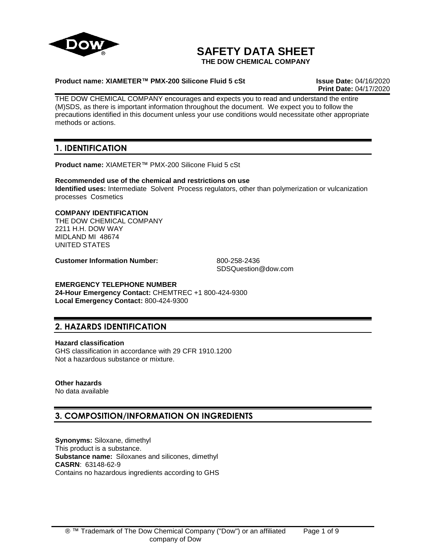

# **SAFETY DATA SHEET**

**THE DOW CHEMICAL COMPANY**

# **Product name: XIAMETER™ PMX-200 Silicone Fluid 5 cSt Issue Date:** 04/16/2020

**Print Date:** 04/17/2020

THE DOW CHEMICAL COMPANY encourages and expects you to read and understand the entire (M)SDS, as there is important information throughout the document. We expect you to follow the precautions identified in this document unless your use conditions would necessitate other appropriate methods or actions.

# **1. IDENTIFICATION**

**Product name:** XIAMETER™ PMX-200 Silicone Fluid 5 cSt

**Recommended use of the chemical and restrictions on use Identified uses:** Intermediate Solvent Process regulators, other than polymerization or vulcanization processes Cosmetics

# **COMPANY IDENTIFICATION**

THE DOW CHEMICAL COMPANY 2211 H.H. DOW WAY MIDLAND MI 48674 UNITED STATES

**Customer Information Number:** 800-258-2436

SDSQuestion@dow.com

# **EMERGENCY TELEPHONE NUMBER**

**24-Hour Emergency Contact:** CHEMTREC +1 800-424-9300 **Local Emergency Contact:** 800-424-9300

# **2. HAZARDS IDENTIFICATION**

## **Hazard classification**

GHS classification in accordance with 29 CFR 1910.1200 Not a hazardous substance or mixture.

# **Other hazards**

No data available

# **3. COMPOSITION/INFORMATION ON INGREDIENTS**

**Synonyms:** Siloxane, dimethyl This product is a substance. **Substance name:** Siloxanes and silicones, dimethyl **CASRN**: 63148-62-9 Contains no hazardous ingredients according to GHS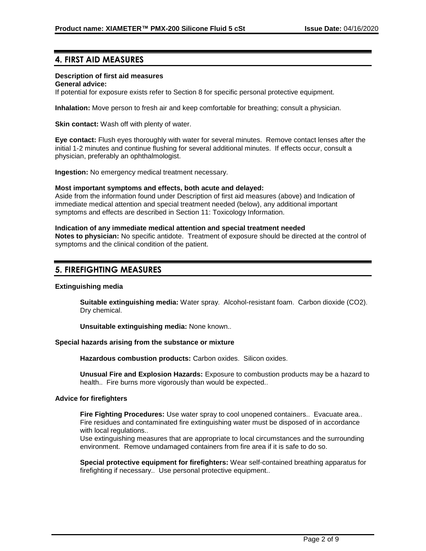# **4. FIRST AID MEASURES**

## **Description of first aid measures**

#### **General advice:**

If potential for exposure exists refer to Section 8 for specific personal protective equipment.

**Inhalation:** Move person to fresh air and keep comfortable for breathing; consult a physician.

**Skin contact:** Wash off with plenty of water.

**Eye contact:** Flush eyes thoroughly with water for several minutes. Remove contact lenses after the initial 1-2 minutes and continue flushing for several additional minutes. If effects occur, consult a physician, preferably an ophthalmologist.

**Ingestion:** No emergency medical treatment necessary.

#### **Most important symptoms and effects, both acute and delayed:**

Aside from the information found under Description of first aid measures (above) and Indication of immediate medical attention and special treatment needed (below), any additional important symptoms and effects are described in Section 11: Toxicology Information.

#### **Indication of any immediate medical attention and special treatment needed**

**Notes to physician:** No specific antidote. Treatment of exposure should be directed at the control of symptoms and the clinical condition of the patient.

# **5. FIREFIGHTING MEASURES**

#### **Extinguishing media**

**Suitable extinguishing media:** Water spray. Alcohol-resistant foam. Carbon dioxide (CO2). Dry chemical.

**Unsuitable extinguishing media:** None known..

## **Special hazards arising from the substance or mixture**

**Hazardous combustion products:** Carbon oxides. Silicon oxides.

**Unusual Fire and Explosion Hazards:** Exposure to combustion products may be a hazard to health.. Fire burns more vigorously than would be expected..

#### **Advice for firefighters**

**Fire Fighting Procedures:** Use water spray to cool unopened containers.. Evacuate area.. Fire residues and contaminated fire extinguishing water must be disposed of in accordance with local regulations..

Use extinguishing measures that are appropriate to local circumstances and the surrounding environment. Remove undamaged containers from fire area if it is safe to do so.

**Special protective equipment for firefighters:** Wear self-contained breathing apparatus for firefighting if necessary.. Use personal protective equipment..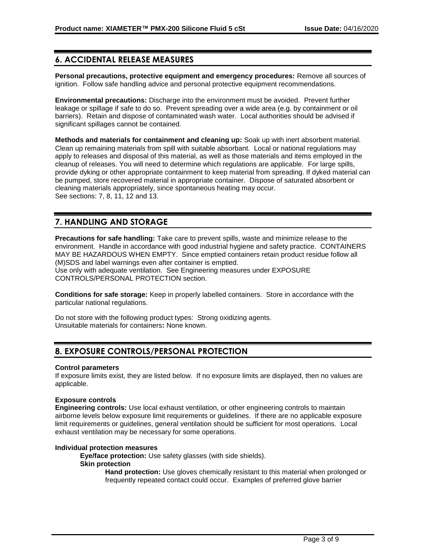# **6. ACCIDENTAL RELEASE MEASURES**

**Personal precautions, protective equipment and emergency procedures:** Remove all sources of ignition. Follow safe handling advice and personal protective equipment recommendations.

**Environmental precautions:** Discharge into the environment must be avoided. Prevent further leakage or spillage if safe to do so. Prevent spreading over a wide area (e.g. by containment or oil barriers). Retain and dispose of contaminated wash water. Local authorities should be advised if significant spillages cannot be contained.

**Methods and materials for containment and cleaning up:** Soak up with inert absorbent material. Clean up remaining materials from spill with suitable absorbant. Local or national regulations may apply to releases and disposal of this material, as well as those materials and items employed in the cleanup of releases. You will need to determine which regulations are applicable. For large spills, provide dyking or other appropriate containment to keep material from spreading. If dyked material can be pumped, store recovered material in appropriate container. Dispose of saturated absorbent or cleaning materials appropriately, since spontaneous heating may occur. See sections: 7, 8, 11, 12 and 13.

# **7. HANDLING AND STORAGE**

**Precautions for safe handling:** Take care to prevent spills, waste and minimize release to the environment. Handle in accordance with good industrial hygiene and safety practice. CONTAINERS MAY BE HAZARDOUS WHEN EMPTY. Since emptied containers retain product residue follow all (M)SDS and label warnings even after container is emptied. Use only with adequate ventilation. See Engineering measures under EXPOSURE CONTROLS/PERSONAL PROTECTION section.

**Conditions for safe storage:** Keep in properly labelled containers. Store in accordance with the particular national regulations.

Do not store with the following product types: Strong oxidizing agents. Unsuitable materials for containers**:** None known.

# **8. EXPOSURE CONTROLS/PERSONAL PROTECTION**

#### **Control parameters**

If exposure limits exist, they are listed below. If no exposure limits are displayed, then no values are applicable.

## **Exposure controls**

**Engineering controls:** Use local exhaust ventilation, or other engineering controls to maintain airborne levels below exposure limit requirements or guidelines. If there are no applicable exposure limit requirements or guidelines, general ventilation should be sufficient for most operations. Local exhaust ventilation may be necessary for some operations.

# **Individual protection measures**

**Eye/face protection:** Use safety glasses (with side shields).

#### **Skin protection**

**Hand protection:** Use gloves chemically resistant to this material when prolonged or frequently repeated contact could occur. Examples of preferred glove barrier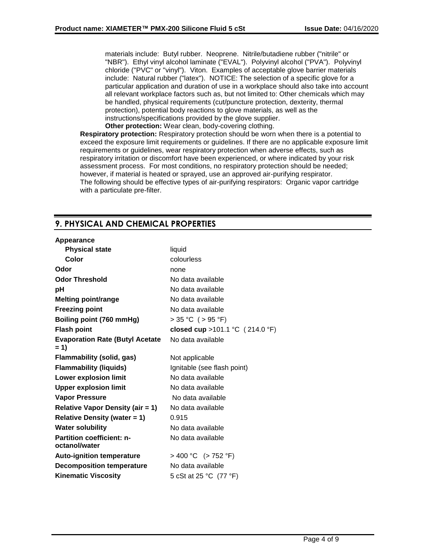materials include: Butyl rubber. Neoprene. Nitrile/butadiene rubber ("nitrile" or "NBR"). Ethyl vinyl alcohol laminate ("EVAL"). Polyvinyl alcohol ("PVA"). Polyvinyl chloride ("PVC" or "vinyl"). Viton. Examples of acceptable glove barrier materials include: Natural rubber ("latex"). NOTICE: The selection of a specific glove for a particular application and duration of use in a workplace should also take into account all relevant workplace factors such as, but not limited to: Other chemicals which may be handled, physical requirements (cut/puncture protection, dexterity, thermal protection), potential body reactions to glove materials, as well as the instructions/specifications provided by the glove supplier. **Other protection:** Wear clean, body-covering clothing.

**Respiratory protection:** Respiratory protection should be worn when there is a potential to exceed the exposure limit requirements or guidelines. If there are no applicable exposure limit requirements or guidelines, wear respiratory protection when adverse effects, such as respiratory irritation or discomfort have been experienced, or where indicated by your risk assessment process. For most conditions, no respiratory protection should be needed; however, if material is heated or sprayed, use an approved air-purifying respirator. The following should be effective types of air-purifying respirators: Organic vapor cartridge with a particulate pre-filter.

# **9. PHYSICAL AND CHEMICAL PROPERTIES**

# **Appearance**

| <b>Physical state</b>                             | liquid                             |  |
|---------------------------------------------------|------------------------------------|--|
| Color                                             | colourless                         |  |
| Odor                                              | none                               |  |
| <b>Odor Threshold</b>                             | No data available                  |  |
| рH                                                | No data available                  |  |
| <b>Melting point/range</b>                        | No data available                  |  |
| <b>Freezing point</b>                             | No data available                  |  |
| Boiling point (760 mmHg)                          | $> 35 °C$ ( $> 95 °F$ )            |  |
| <b>Flash point</b>                                | closed cup > 101.1 °C $(214.0 °F)$ |  |
| <b>Evaporation Rate (Butyl Acetate</b><br>$= 1$   | No data available                  |  |
| <b>Flammability (solid, gas)</b>                  | Not applicable                     |  |
| <b>Flammability (liquids)</b>                     | Ignitable (see flash point)        |  |
| <b>Lower explosion limit</b>                      | No data available                  |  |
| <b>Upper explosion limit</b><br>No data available |                                    |  |
| <b>Vapor Pressure</b>                             | No data available                  |  |
| <b>Relative Vapor Density (air = 1)</b>           | No data available                  |  |
| <b>Relative Density (water = 1)</b>               | 0.915                              |  |
| <b>Water solubility</b>                           | No data available                  |  |
| <b>Partition coefficient: n-</b><br>octanol/water | No data available                  |  |
| <b>Auto-ignition temperature</b>                  | $> 400 °C$ ( $> 752 °F$ )          |  |
| <b>Decomposition temperature</b>                  | No data available                  |  |
| <b>Kinematic Viscosity</b>                        | 5 cSt at 25 °C (77 °F)             |  |
|                                                   |                                    |  |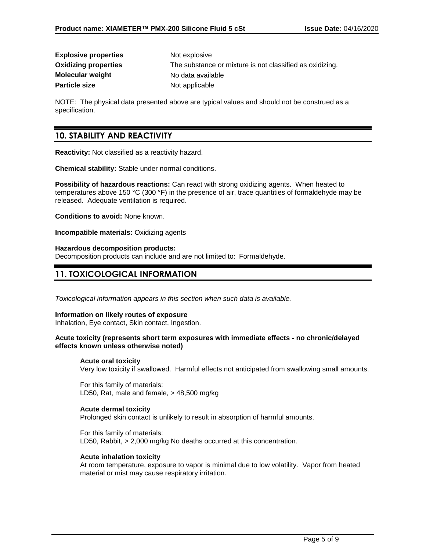| <b>Explosive properties</b> | Not explosive                                            |
|-----------------------------|----------------------------------------------------------|
| <b>Oxidizing properties</b> | The substance or mixture is not classified as oxidizing. |
| Molecular weight            | No data available                                        |
| Particle size               | Not applicable                                           |

NOTE: The physical data presented above are typical values and should not be construed as a specification.

# **10. STABILITY AND REACTIVITY**

**Reactivity:** Not classified as a reactivity hazard.

**Chemical stability:** Stable under normal conditions.

**Possibility of hazardous reactions:** Can react with strong oxidizing agents. When heated to temperatures above 150 °C (300 °F) in the presence of air, trace quantities of formaldehyde may be released. Adequate ventilation is required.

**Conditions to avoid:** None known.

**Incompatible materials:** Oxidizing agents

#### **Hazardous decomposition products:**

Decomposition products can include and are not limited to: Formaldehyde.

# **11. TOXICOLOGICAL INFORMATION**

*Toxicological information appears in this section when such data is available.*

#### **Information on likely routes of exposure**

Inhalation, Eye contact, Skin contact, Ingestion.

#### **Acute toxicity (represents short term exposures with immediate effects - no chronic/delayed effects known unless otherwise noted)**

#### **Acute oral toxicity**

Very low toxicity if swallowed. Harmful effects not anticipated from swallowing small amounts.

For this family of materials: LD50, Rat, male and female, > 48,500 mg/kg

## **Acute dermal toxicity**

Prolonged skin contact is unlikely to result in absorption of harmful amounts.

For this family of materials: LD50, Rabbit, > 2,000 mg/kg No deaths occurred at this concentration.

#### **Acute inhalation toxicity**

At room temperature, exposure to vapor is minimal due to low volatility. Vapor from heated material or mist may cause respiratory irritation.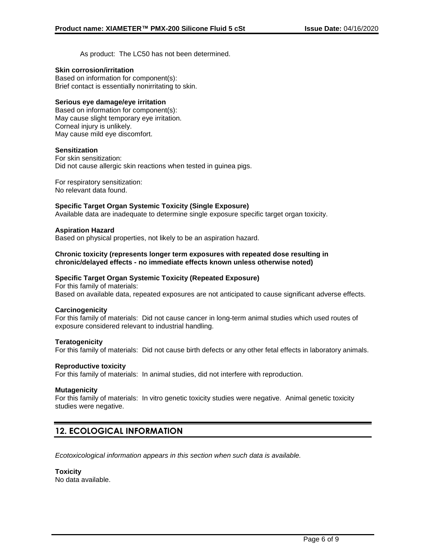As product: The LC50 has not been determined.

## **Skin corrosion/irritation**

Based on information for component(s): Brief contact is essentially nonirritating to skin.

# **Serious eye damage/eye irritation**

Based on information for component(s): May cause slight temporary eye irritation. Corneal injury is unlikely. May cause mild eye discomfort.

# **Sensitization**

For skin sensitization: Did not cause allergic skin reactions when tested in guinea pigs.

For respiratory sensitization: No relevant data found.

# **Specific Target Organ Systemic Toxicity (Single Exposure)**

Available data are inadequate to determine single exposure specific target organ toxicity.

# **Aspiration Hazard**

Based on physical properties, not likely to be an aspiration hazard.

## **Chronic toxicity (represents longer term exposures with repeated dose resulting in chronic/delayed effects - no immediate effects known unless otherwise noted)**

## **Specific Target Organ Systemic Toxicity (Repeated Exposure)**

For this family of materials: Based on available data, repeated exposures are not anticipated to cause significant adverse effects.

## **Carcinogenicity**

For this family of materials: Did not cause cancer in long-term animal studies which used routes of exposure considered relevant to industrial handling.

## **Teratogenicity**

For this family of materials: Did not cause birth defects or any other fetal effects in laboratory animals.

## **Reproductive toxicity**

For this family of materials: In animal studies, did not interfere with reproduction.

## **Mutagenicity**

For this family of materials: In vitro genetic toxicity studies were negative. Animal genetic toxicity studies were negative.

# **12. ECOLOGICAL INFORMATION**

*Ecotoxicological information appears in this section when such data is available.*

**Toxicity** No data available.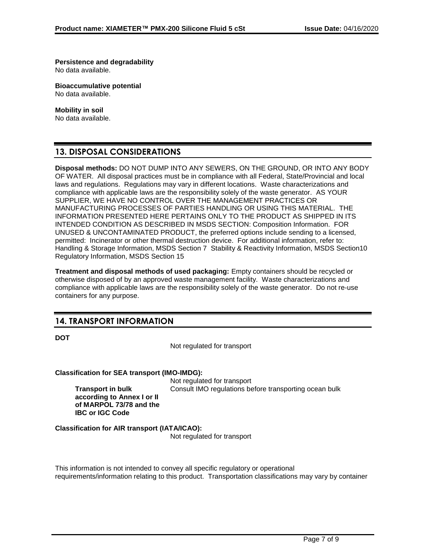**Persistence and degradability** No data available.

**Bioaccumulative potential** No data available.

**Mobility in soil**

No data available.

# **13. DISPOSAL CONSIDERATIONS**

**Disposal methods:** DO NOT DUMP INTO ANY SEWERS, ON THE GROUND, OR INTO ANY BODY OF WATER. All disposal practices must be in compliance with all Federal, State/Provincial and local laws and regulations. Regulations may vary in different locations. Waste characterizations and compliance with applicable laws are the responsibility solely of the waste generator. AS YOUR SUPPLIER, WE HAVE NO CONTROL OVER THE MANAGEMENT PRACTICES OR MANUFACTURING PROCESSES OF PARTIES HANDLING OR USING THIS MATERIAL. THE INFORMATION PRESENTED HERE PERTAINS ONLY TO THE PRODUCT AS SHIPPED IN ITS INTENDED CONDITION AS DESCRIBED IN MSDS SECTION: Composition Information. FOR UNUSED & UNCONTAMINATED PRODUCT, the preferred options include sending to a licensed, permitted: Incinerator or other thermal destruction device. For additional information, refer to: Handling & Storage Information, MSDS Section 7 Stability & Reactivity Information, MSDS Section10 Regulatory Information, MSDS Section 15

**Treatment and disposal methods of used packaging:** Empty containers should be recycled or otherwise disposed of by an approved waste management facility. Waste characterizations and compliance with applicable laws are the responsibility solely of the waste generator. Do not re-use containers for any purpose.

# **14. TRANSPORT INFORMATION**

**Transport in bulk** 

**IBC or IGC Code**

**according to Annex I or II of MARPOL 73/78 and the** 

**DOT**

Not regulated for transport

**Classification for SEA transport (IMO-IMDG):**

Not regulated for transport Consult IMO regulations before transporting ocean bulk

**Classification for AIR transport (IATA/ICAO):**

Not regulated for transport

This information is not intended to convey all specific regulatory or operational requirements/information relating to this product. Transportation classifications may vary by container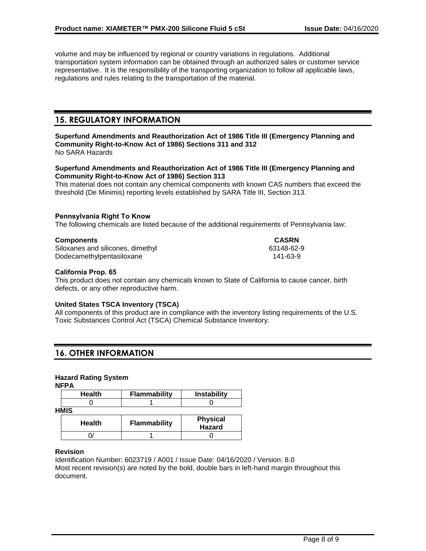volume and may be influenced by regional or country variations in regulations. Additional transportation system information can be obtained through an authorized sales or customer service representative. It is the responsibility of the transporting organization to follow all applicable laws, regulations and rules relating to the transportation of the material.

# **15. REGULATORY INFORMATION**

**Superfund Amendments and Reauthorization Act of 1986 Title III (Emergency Planning and Community Right-to-Know Act of 1986) Sections 311 and 312** No SARA Hazards

# **Superfund Amendments and Reauthorization Act of 1986 Title III (Emergency Planning and Community Right-to-Know Act of 1986) Section 313**

This material does not contain any chemical components with known CAS numbers that exceed the threshold (De Minimis) reporting levels established by SARA Title III, Section 313.

# **Pennsylvania Right To Know**

The following chemicals are listed because of the additional requirements of Pennsylvania law:

## **Components CASRN**

Siloxanes and silicones, dimethyl 63148-62-9 Dodecamethylpentasiloxane 141-63-9

## **California Prop. 65**

This product does not contain any chemicals known to State of California to cause cancer, birth defects, or any other reproductive harm.

## **United States TSCA Inventory (TSCA)**

All components of this product are in compliance with the inventory listing requirements of the U.S. Toxic Substances Control Act (TSCA) Chemical Substance Inventory.

# **16. OTHER INFORMATION**

## **Hazard Rating System**

**NFPA**

| <b>Health</b> | <b>Flammability</b> | <b>Instability</b>        |
|---------------|---------------------|---------------------------|
|               |                     |                           |
| <b>HMIS</b>   |                     |                           |
| Health        | <b>Flammability</b> | <b>Physical</b><br>Hazard |
|               |                     |                           |

## **Revision**

Identification Number: 6023719 / A001 / Issue Date: 04/16/2020 / Version: 8.0 Most recent revision(s) are noted by the bold, double bars in left-hand margin throughout this document.